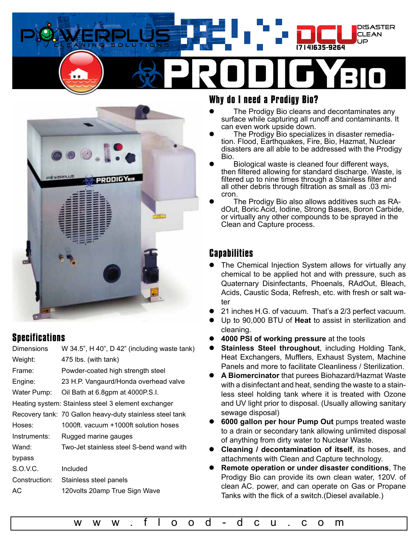



## **Specifications**

| <b>Dimensions</b> | W 34.5", H 40", D 42" (including waste tank)             |
|-------------------|----------------------------------------------------------|
| Weight:           | 475 lbs. (with tank)                                     |
| Frame:            | Powder-coated high strength steel                        |
| Engine:           | 23 H.P. Vangaurd/Honda overhead valve                    |
| Water Pump:       | Oil Bath at 6.8gpm at 4000P.S.I.                         |
|                   | Heating system: Stainless steel 3 element exchanger      |
|                   | Recovery tank: 70 Gallon heavy-duty stainless steel tank |
| Hoses:            | 1000ft. vacuum +1000ft solution hoses                    |
| Instruments:      | Rugged marine gauges                                     |
| Wand:             | Two-Jet stainless steel S-bend wand with                 |
| bypass            |                                                          |
| S.O.V.C.          | Included                                                 |
| Construction:     | Stainless steel panels                                   |
| АC                | 120 volts 20 amp True Sign Wave                          |
|                   |                                                          |

## **Why do I need a Prodigy Bio?**

- The Prodigy Bio cleans and decontaminates any surface while capturing all runoff and contaminants. It can even work upside down.
- The Prodigy Bio specializes in disaster remediation. Flood, Earthquakes, Fire, Bio, Hazmat, Nuclear disasters are all able to be addressed with the Prodigy Bio.
- Biological waste is cleaned four different ways, then filtered allowing for standard discharge. Waste, is filtered up to nine times through a Stainless filter and all other debris through filtration as small as .03 micron.
- The Prodigy Bio also allows additives such as RAdOut, Boric Acid, Iodine, Strong Bases, Boron Carbide, or virtually any other compounds to be sprayed in the Clean and Capture process.

## **Capabilities**

- The Chemical Injection System allows for virtually any chemical to be applied hot and with pressure, such as Quaternary Disinfectants, Phoenals, RAdOut, Bleach, Acids, Caustic Soda, Refresh, etc. with fresh or salt water
- 21 inches H.G. of vacuum. That's a 2/3 perfect vacuum.
- z Up to 90,000 BTU of **Heat** to assist in sterilization and cleaning.
- z **4000 PSI of working pressure** at the tools
- **Stainless Steel throughout, including Holding Tank,** Heat Exchangers, Mufflers, Exhaust System, Machine Panels and more to facilitate Cleanliness / Sterilization.
- z **A Biomercinator** that purees Biohazard/Hazmat Waste with a disinfectant and heat, sending the waste to a stainless steel holding tank where it is treated with Ozone and UV light prior to disposal. (Usually allowing sanitary sewage disposal)
- z **6000 gallon per hour Pump Out** pumps treated waste to a drain or secondary tank allowing unlimited disposal of anything from dirty water to Nuclear Waste.
- z **Cleaning / decontamination of itself**, its hoses, and attachments with Clean and Capture technology.
- z **Remote operation or under disaster conditions**, The Prodigy Bio can provide its own clean water, 120V. of clean AC. power, and can operate on Gas or Propane Tanks with the flick of a switch.(Diesel available.)

[w w w . f l o o d - d c u . c o m](http://www.flood-dcu.com
)